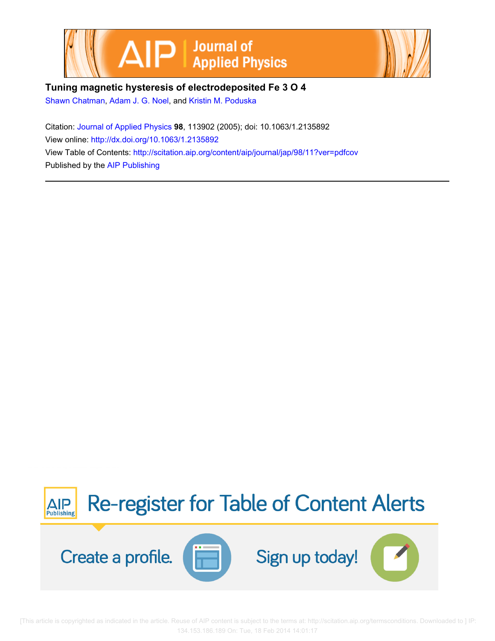



## **Tuning magnetic hysteresis of electrodeposited Fe 3 O 4**

[Shawn Chatman,](http://scitation.aip.org/search?value1=Shawn+Chatman&option1=author) [Adam J. G. Noel,](http://scitation.aip.org/search?value1=Adam+J.+G.+Noel&option1=author) and [Kristin M. Poduska](http://scitation.aip.org/search?value1=Kristin+M.+Poduska&option1=author)

Citation: [Journal of Applied Physics](http://scitation.aip.org/content/aip/journal/jap?ver=pdfcov) **98**, 113902 (2005); doi: 10.1063/1.2135892 View online: <http://dx.doi.org/10.1063/1.2135892> View Table of Contents: <http://scitation.aip.org/content/aip/journal/jap/98/11?ver=pdfcov> Published by the [AIP Publishing](http://scitation.aip.org/content/aip?ver=pdfcov)



 [This article is copyrighted as indicated in the article. Reuse of AIP content is subject to the terms at: http://scitation.aip.org/termsconditions. Downloaded to ] IP: 134.153.186.189 On: Tue, 18 Feb 2014 14:01:17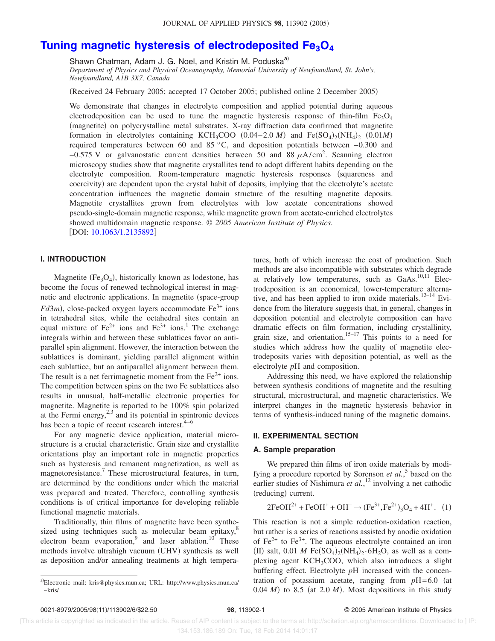# **[Tuning magnetic hysteresis of electrodeposited Fe3O4](http://dx.doi.org/10.1063/1.2135892)**

Shawn Chatman, Adam J. G. Noel, and Kristin M. Poduska<sup>a)</sup>

*Department of Physics and Physical Oceanography, Memorial University of Newfoundland, St. John's, Newfoundland, A1B 3X7, Canada*

(Received 24 February 2005; accepted 17 October 2005; published online 2 December 2005)

We demonstrate that changes in electrolyte composition and applied potential during aqueous electrodeposition can be used to tune the magnetic hysteresis response of thin-film  $Fe<sub>3</sub>O<sub>4</sub>$ (magnetite) on polycrystalline metal substrates. X-ray diffraction data confirmed that magnetite formation in electrolytes containing KCH<sub>3</sub>COO  $(0.04-2.0 \text{ M})$  and  $Fe(SO<sub>4</sub>)<sub>2</sub>(NH<sub>4</sub>)<sub>2</sub> (0.01M)$ required temperatures between 60 and 85 °C, and deposition potentials between −0.300 and  $-0.575$  V or galvanostatic current densities between 50 and 88  $\mu$ A/cm<sup>2</sup>. Scanning electron microscopy studies show that magnetite crystallites tend to adopt different habits depending on the electrolyte composition. Room-temperature magnetic hysteresis responses (squareness and coercivity) are dependent upon the crystal habit of deposits, implying that the electrolyte's acetate concentration influences the magnetic domain structure of the resulting magnetite deposits. Magnetite crystallites grown from electrolytes with low acetate concentrations showed pseudo-single-domain magnetic response, while magnetite grown from acetate-enriched electrolytes showed multidomain magnetic response. © *2005 American Institute of Physics*. DOI: [10.1063/1.2135892](http://dx.doi.org/10.1063/1.2135892)

## **I. INTRODUCTION**

Magnetite  $(Fe<sub>3</sub>O<sub>4</sub>)$ , historically known as lodestone, has become the focus of renewed technological interest in magnetic and electronic applications. In magnetite (space-group *Fd* $\overline{3}$ *m*), close-packed oxygen layers accommodate Fe<sup>3+</sup> ions in tetrahedral sites, while the octahedral sites contain an equal mixture of  $Fe^{2+}$  ions and  $Fe^{3+}$  ions.<sup>1</sup> The exchange integrals within and between these sublattices favor an antiparallel spin alignment. However, the interaction between the sublattices is dominant, yielding parallel alignment within each sublattice, but an antiparallel alignment between them. The result is a net ferrimagnetic moment from the  $Fe<sup>2+</sup>$  ions. The competition between spins on the two Fe sublattices also results in unusual, half-metallic electronic properties for magnetite. Magnetite is reported to be 100% spin polarized at the Fermi energy, $^{2,3}$  and its potential in spintronic devices has been a topic of recent research interest. $4-6$ 

For any magnetic device application, material microstructure is a crucial characteristic. Grain size and crystallite orientations play an important role in magnetic properties such as hysteresis and remanent magnetization, as well as magnetoresistance.7 These microstructural features, in turn, are determined by the conditions under which the material was prepared and treated. Therefore, controlling synthesis conditions is of critical importance for developing reliable functional magnetic materials.

Traditionally, thin films of magnetite have been synthesized using techniques such as molecular beam epitaxy,<sup>8</sup> electron beam evaporation, $9$  and laser ablation.<sup>10</sup> These methods involve ultrahigh vacuum (UHV) synthesis as well as deposition and/or annealing treatments at high tempera-

tures, both of which increase the cost of production. Such methods are also incompatible with substrates which degrade at relatively low temperatures, such as  $GaAs$ <sup>10,11</sup> Electrodeposition is an economical, lower-temperature alternative, and has been applied to iron oxide materials.<sup>12–14</sup> Evidence from the literature suggests that, in general, changes in deposition potential and electrolyte composition can have dramatic effects on film formation, including crystallinity, grain size, and orientation.<sup>15–17</sup> This points to a need for studies which address how the quality of magnetite electrodeposits varies with deposition potential, as well as the electrolyte *p*H and composition.

Addressing this need, we have explored the relationship between synthesis conditions of magnetite and the resulting structural, microstructural, and magnetic characteristics. We interpret changes in the magnetic hysteresis behavior in terms of synthesis-induced tuning of the magnetic domains.

## **II. EXPERIMENTAL SECTION**

#### **A. Sample preparation**

We prepared thin films of iron oxide materials by modifying a procedure reported by Sorenson *et al.*, <sup>5</sup> based on the earlier studies of Nishimura et al.,<sup>12</sup> involving a net cathodic (reducing) current.

$$
2FeOH^{2+} + FeOH^{+} + OH^{-} \rightarrow (Fe^{3+}, Fe^{2+})_{3}O_{4} + 4H^{+}. (1)
$$

This reaction is not a simple reduction-oxidation reaction, but rather is a series of reactions assisted by anodic oxidation of  $Fe^{2+}$  to  $Fe^{3+}$ . The aqueous electrolyte contained an iron (II) salt, 0.01 *M* Fe $(SO_4)_2(NH_4)_2 \cdot 6H_2O$ , as well as a complexing agent KCH3COO, which also introduces a slight buffering effect. Electrolyte *p*H increased with the concentration of potassium acetate, ranging from  $pH = 6.0$  (at  $0.04 \, M$ ) to 8.5 (at 2.0  $M$ ). Most depositions in this study

a)Electronic mail: kris@physics.mun.ca; URL: http://www.physics.mun.ca/  $\sim$ kris/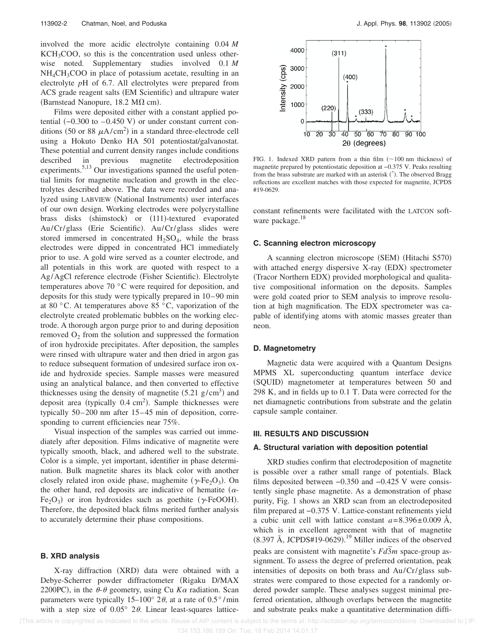involved the more acidic electrolyte containing 0.04 *M* KCH3COO, so this is the concentration used unless otherwise noted. Supplementary studies involved 0.1 *M*  $NH<sub>4</sub>CH<sub>3</sub>COO$  in place of potassium acetate, resulting in an electrolyte *p*H of 6.7. All electrolytes were prepared from ACS grade reagent salts (EM Scientific) and ultrapure water (Barnstead Nanopure,  $18.2 \text{ M}\Omega \text{ cm}$ ).

Films were deposited either with a constant applied potential  $(-0.300$  to  $-0.450$  V) or under constant current conditions (50 or 88  $\mu$ A/cm<sup>2</sup>) in a standard three-electrode cell using a Hokuto Denko HA 501 potentiostat/galvanostat. These potential and current density ranges include conditions described in previous magnetite electrodeposition experiments.<sup>5,13</sup> Our investigations spanned the useful potential limits for magnetite nucleation and growth in the electrolytes described above. The data were recorded and analyzed using LABVIEW (National Instruments) user interfaces of our own design. Working electrodes were polycrystalline brass disks (shimstock) or (111)-textured evaporated Au/Cr/glass (Erie Scientific). Au/Cr/glass slides were stored immersed in concentrated  $H_2SO_4$ , while the brass electrodes were dipped in concentrated HCl immediately prior to use. A gold wire served as a counter electrode, and all potentials in this work are quoted with respect to a Ag/AgCl reference electrode (Fisher Scientific). Electrolyte temperatures above 70 °C were required for deposition, and deposits for this study were typically prepared in 10– 90 min at 80 °C. At temperatures above 85 °C, vaporization of the electrolyte created problematic bubbles on the working electrode. A thorough argon purge prior to and during deposition removed  $O_2$  from the solution and suppressed the formation of iron hydroxide precipitates. After deposition, the samples were rinsed with ultrapure water and then dried in argon gas to reduce subsequent formation of undesired surface iron oxide and hydroxide species. Sample masses were measured using an analytical balance, and then converted to effective thicknesses using the density of magnetite  $(5.21 \text{ g/cm}^3)$  and deposit area (typically  $0.4 \text{ cm}^2$ ). Sample thicknesses were typically 50–200 nm after 15–45 min of deposition, corresponding to current efficiencies near  $75\%$ .

Visual inspection of the samples was carried out immediately after deposition. Films indicative of magnetite were typically smooth, black, and adhered well to the substrate. Color is a simple, yet important, identifier in phase determination. Bulk magnetite shares its black color with another closely related iron oxide phase, maghemite  $(\gamma$ -Fe<sub>2</sub>O<sub>3</sub>). On the other hand, red deposits are indicative of hematite  $(\alpha$ -Fe<sub>2</sub>O<sub>3</sub>) or iron hydroxides such as goethite ( $\gamma$ -FeOOH). Therefore, the deposited black films merited further analysis to accurately determine their phase compositions.

#### **B. XRD analysis**

X-ray diffraction (XRD) data were obtained with a Debye-Scherrer powder diffractometer (Rigaku D/MAX 2200PC), in the  $\theta$ - $\theta$  geometry, using Cu  $K\alpha$  radiation. Scan parameters were typically 15–100 $^{\circ}$  2 $\theta$ , at a rate of 0.5 $^{\circ}$ /min with a step size of  $0.05^{\circ}$  2 $\theta$ . Linear least-squares lattice-



FIG. 1. Indexed XRD pattern from a thin film  $(\sim 100 \text{ nm}$  thickness) of magnetite prepared by potentiostatic deposition at −0.375 V. Peaks resulting from the brass substrate are marked with an asterisk (\*). The observed Bragg reflections are excellent matches with those expected for magnetite, JCPDS #19-0629.

constant refinements were facilitated with the LATCON software package.<sup>18</sup>

#### **C. Scanning electron microscopy**

A scanning electron microscope (SEM) (Hitachi S570) with attached energy dispersive X-ray (EDX) spectrometer (Tracor Northern EDX) provided morphological and qualitative compositional information on the deposits. Samples were gold coated prior to SEM analysis to improve resolution at high magnification. The EDX spectrometer was capable of identifying atoms with atomic masses greater than neon.

#### **D. Magnetometry**

Magnetic data were acquired with a Quantum Designs MPMS XL superconducting quantum interface device (SQUID) magnetometer at temperatures between 50 and 298 K, and in fields up to 0.1 T. Data were corrected for the net diamagnetic contributions from substrate and the gelatin capsule sample container.

#### **III. RESULTS AND DISCUSSION**

#### **A. Structural variation with deposition potential**

XRD studies confirm that electrodeposition of magnetite is possible over a rather small range of potentials. Black films deposited between −0.350 and −0.425 V were consistently single phase magnetite. As a demonstration of phase purity, Fig. 1 shows an XRD scan from an electrodeposited film prepared at −0.375 V. Lattice-constant refinements yield a cubic unit cell with lattice constant  $a = 8.396 \pm 0.009$  Å, which is in excellent agreement with that of magnetite  $(8.397 \text{ Å}, \text{JCPDS#19-0629}).$ <sup>19</sup> Miller indices of the observed peaks are consistent with magnetite's  $Fd\overline{3}m$  space-group assignment. To assess the degree of preferred orientation, peak intensities of deposits on both brass and Au/Cr/ glass substrates were compared to those expected for a randomly ordered powder sample. These analyses suggest minimal preferred orientation, although overlaps between the magnetite and substrate peaks make a quantitative determination diffi-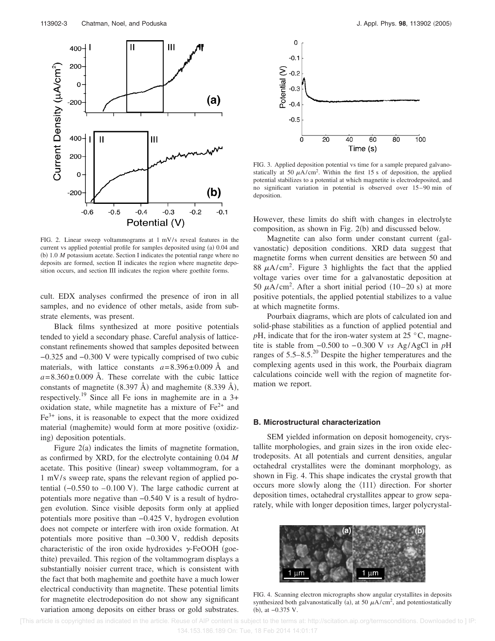

FIG. 2. Linear sweep voltammograms at  $1 \text{ mV/s}$  reveal features in the current vs applied potential profile for samples deposited using (a) 0.04 and (b) 1.0 *M* potassium acetate. Section I indicates the potential range where no deposits are formed, section II indicates the region where magnetite deposition occurs, and section III indicates the region where goethite forms.

cult. EDX analyses confirmed the presence of iron in all samples, and no evidence of other metals, aside from substrate elements, was present.

Black films synthesized at more positive potentials tended to yield a secondary phase. Careful analysis of latticeconstant refinements showed that samples deposited between −0.325 and −0.300 V were typically comprised of two cubic materials, with lattice constants  $a = 8.396 \pm 0.009$  Å and  $a = 8.360 \pm 0.009$  Å. These correlate with the cubic lattice constants of magnetite  $(8.397 \text{ Å})$  and maghemite  $(8.339 \text{ Å})$ , respectively.<sup>19</sup> Since all Fe ions in maghemite are in a  $3+$ oxidation state, while magnetite has a mixture of  $Fe<sup>2+</sup>$  and  $Fe<sup>3+</sup>$  ions, it is reasonable to expect that the more oxidized material (maghemite) would form at more positive (oxidizing) deposition potentials.

Figure 2(a) indicates the limits of magnetite formation, as confirmed by XRD, for the electrolyte containing 0.04 *M* acetate. This positive (linear) sweep voltammogram, for a 1 mV/s sweep rate, spans the relevant region of applied potential  $(-0.550$  to  $-0.100$  V). The large cathodic current at potentials more negative than −0.540 V is a result of hydrogen evolution. Since visible deposits form only at applied potentials more positive than −0.425 V, hydrogen evolution does not compete or interfere with iron oxide formation. At potentials more positive than −0.300 V, reddish deposits characteristic of the iron oxide hydroxides  $\gamma$ -FeOOH (goethite) prevailed. This region of the voltammogram displays a substantially noisier current trace, which is consistent with the fact that both maghemite and goethite have a much lower electrical conductivity than magnetite. These potential limits for magnetite electrodeposition do not show any significant variation among deposits on either brass or gold substrates.



FIG. 3. Applied deposition potential vs time for a sample prepared galvanostatically at 50  $\mu$ A/cm<sup>2</sup>. Within the first 15 s of deposition, the applied potential stabilizes to a potential at which magnetite is electrodeposited, and no significant variation in potential is observed over 15– 90 min of deposition.

However, these limits do shift with changes in electrolyte composition, as shown in Fig. 2(b) and discussed below.

Magnetite can also form under constant current (galvanostatic) deposition conditions. XRD data suggest that magnetite forms when current densities are between 50 and 88  $\mu$ A/cm<sup>2</sup>. Figure 3 highlights the fact that the applied voltage varies over time for a galvanostatic deposition at 50  $\mu$ A/cm<sup>2</sup>. After a short initial period (10–20 s) at more positive potentials, the applied potential stabilizes to a value at which magnetite forms.

Pourbaix diagrams, which are plots of calculated ion and solid-phase stabilities as a function of applied potential and  $p$ H, indicate that for the iron-water system at 25  $\degree$ C, magnetite is stable from −0.500 to − 0.300 V *vs* Ag/AgCl in *p*H ranges of 5.5–8.5.20 Despite the higher temperatures and the complexing agents used in this work, the Pourbaix diagram calculations coincide well with the region of magnetite formation we report.

#### **B. Microstructural characterization**

SEM yielded information on deposit homogeneity, crystallite morphologies, and grain sizes in the iron oxide electrodeposits. At all potentials and current densities, angular octahedral crystallites were the dominant morphology, as shown in Fig. 4. This shape indicates the crystal growth that occurs more slowly along the  $\langle 111 \rangle$  direction. For shorter deposition times, octahedral crystallites appear to grow separately, while with longer deposition times, larger polycrystal-



FIG. 4. Scanning electron micrographs show angular crystallites in deposits synthesized both galvanostatically (a), at 50  $\mu$ A/cm<sup>2</sup>, and potentiostatically (b), at -0.375 V.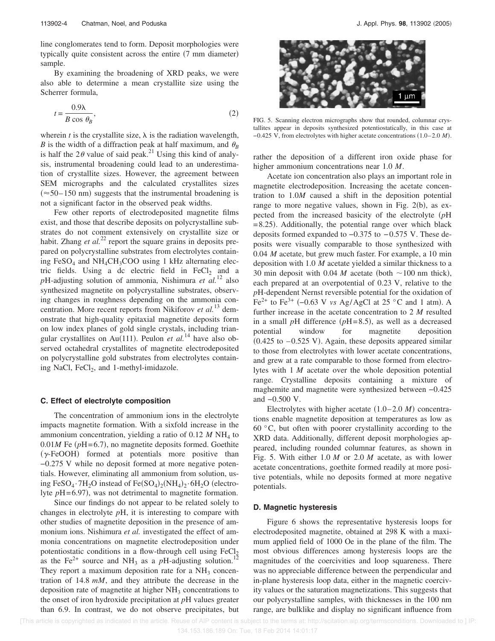line conglomerates tend to form. Deposit morphologies were typically quite consistent across the entire (7 mm diameter) sample.

By examining the broadening of XRD peaks, we were also able to determine a mean crystallite size using the Scherrer formula,

$$
t = \frac{0.9\lambda}{B\cos\theta_B},\tag{2}
$$

wherein  $t$  is the crystallite size,  $\lambda$  is the radiation wavelength, *B* is the width of a diffraction peak at half maximum, and  $\theta_B$ is half the  $2\theta$  value of said peak.<sup>21</sup> Using this kind of analysis, instrumental broadening could lead to an underestimation of crystallite sizes. However, the agreement between SEM micrographs and the calculated crystallites sizes  $(\approx 50 - 150 \text{ nm})$  suggests that the instrumental broadening is not a significant factor in the observed peak widths.

Few other reports of electrodeposited magnetite films exist, and those that describe deposits on polycrystalline substrates do not comment extensively on crystallite size or habit. Zhang *et al.*<sup>22</sup> report the square grains in deposits prepared on polycrystalline substrates from electrolytes containing FeSO<sub>4</sub> and NH<sub>4</sub>CH<sub>3</sub>COO using 1 kHz alternating electric fields. Using a dc electric field in FeCl<sub>2</sub> and a *p*H-adjusting solution of ammonia, Nishimura *et al.*<sup>12</sup> also synthesized magnetite on polycrystalline substrates, observing changes in roughness depending on the ammonia concentration. More recent reports from Nikiforov *et al.*<sup>13</sup> demonstrate that high-quality epitaxial magnetite deposits form on low index planes of gold single crystals, including triangular crystallites on Au(111). Peulon *et al.*<sup>14</sup> have also observed octahedral crystallites of magnetite electrodeposited on polycrystalline gold substrates from electrolytes containing NaCl,  $FeCl<sub>2</sub>$ , and 1-methyl-imidazole.

#### **C. Effect of electrolyte composition**

The concentration of ammonium ions in the electrolyte impacts magnetite formation. With a sixfold increase in the ammonium concentration, yielding a ratio of  $0.12 M NH<sub>4</sub>$  to  $0.01M$  Fe ( $pH = 6.7$ ), no magnetite deposits formed. Goethite  $(\gamma$ -FeOOH) formed at potentials more positive than −0.275 V while no deposit formed at more negative potentials. However, eliminating all ammonium from solution, using FeSO<sub>4</sub>.7H<sub>2</sub>O instead of Fe(SO<sub>4</sub>)<sub>2</sub>(NH<sub>4</sub>)<sub>2</sub>.6H<sub>2</sub>O (electrolyte  $pH = 6.97$ ), was not detrimental to magnetite formation.

Since our findings do not appear to be related solely to changes in electrolyte *p*H, it is interesting to compare with other studies of magnetite deposition in the presence of ammonium ions. Nishimura *et al.* investigated the effect of ammonia concentrations on magnetite electrodeposition under potentiostatic conditions in a flow-through cell using  $FeCl<sub>2</sub>$ as the Fe<sup>2+</sup> source and NH<sub>3</sub> as a  $p$ H-adjusting solution.<sup>12</sup> They report a maximum deposition rate for a  $NH<sub>3</sub>$  concentration of 14.8 *mM*, and they attribute the decrease in the deposition rate of magnetite at higher  $NH<sub>3</sub>$  concentrations to the onset of iron hydroxide precipitation at *p*H values greater than 6.9. In contrast, we do not observe precipitates, but



FIG. 5. Scanning electron micrographs show that rounded, columnar crystallites appear in deposits synthesized potentiostatically, in this case at −0.425 V, from electrolytes with higher acetate concentrations 1.0– 2.0 *M*-.

rather the deposition of a different iron oxide phase for higher ammonium concentrations near 1.0 *M*.

Acetate ion concentration also plays an important role in magnetite electrodeposition. Increasing the acetate concentration to 1.0*M* caused a shift in the deposition potential range to more negative values, shown in Fig. 2(b), as expected from the increased basicity of the electrolyte *p*H = 8.25). Additionally, the potential range over which black deposits formed expanded to −0.375 to − 0.575 V. These deposits were visually comparable to those synthesized with 0.04 *M* acetate, but grew much faster. For example, a 10 min deposition with 1.0 *M* acetate yielded a similar thickness to a 30 min deposit with 0.04 *M* acetate (both  $\sim$  100 nm thick), each prepared at an overpotential of 0.23 V, relative to the *p*H-dependent Nernst reversible potential for the oxidation of Fe<sup>2+</sup> to Fe<sup>3+</sup> (-0.63 V *vs* Ag/AgCl at 25 °C and 1 atm). A further increase in the acetate concentration to 2 *M* resulted in a small  $p$ H difference  $(pH=8.5)$ , as well as a decreased potential window for magnetite deposition  $(0.425$  to  $-0.525$  V). Again, these deposits appeared similar to those from electrolytes with lower acetate concentrations, and grew at a rate comparable to those formed from electrolytes with 1 *M* acetate over the whole deposition potential range. Crystalline deposits containing a mixture of maghemite and magnetite were synthesized between −0.425 and −0.500 V.

Electrolytes with higher acetate  $(1.0-2.0 \text{ M})$  concentrations enable magnetite deposition at temperatures as low as 60 °C, but often with poorer crystallinity according to the XRD data. Additionally, different deposit morphologies appeared, including rounded columnar features, as shown in Fig. 5. With either 1.0 *M* or 2.0 *M* acetate, as with lower acetate concentrations, goethite formed readily at more positive potentials, while no deposits formed at more negative potentials.

#### **D. Magnetic hysteresis**

Figure 6 shows the representative hysteresis loops for electrodeposited magnetite, obtained at 298 K with a maximum applied field of 1000 Oe in the plane of the film. The most obvious differences among hysteresis loops are the magnitudes of the coercivities and loop squareness. There was no appreciable difference between the perpendicular and in-plane hysteresis loop data, either in the magnetic coercivity values or the saturation magnetizations. This suggests that our polycrystalline samples, with thicknesses in the 100 nm range, are bulklike and display no significant influence from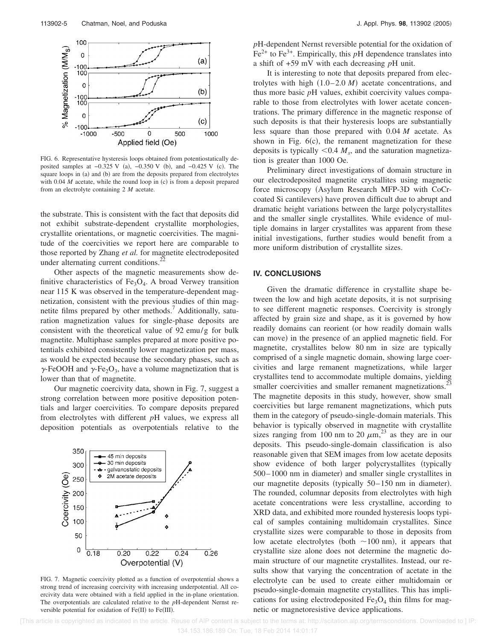

FIG. 6. Representative hysteresis loops obtained from potentiostatically deposited samples at  $-0.325$  V (a),  $-0.350$  V (b), and  $-0.425$  V (c). The square loops in (a) and (b) are from the deposits prepared from electrolytes with  $0.04$   $M$  acetate, while the round loop in (c) is from a deposit prepared from an electrolyte containing 2 *M* acetate.

the substrate. This is consistent with the fact that deposits did not exhibit substrate-dependent crystallite morphologies, crystallite orientations, or magnetic coercivities. The magnitude of the coercivities we report here are comparable to those reported by Zhang *et al.* for magnetite electrodeposited under alternating current conditions. $^{22}$ 

Other aspects of the magnetic measurements show definitive characteristics of  $Fe<sub>3</sub>O<sub>4</sub>$ . A broad Verwey transition near 115 K was observed in the temperature-dependent magnetization, consistent with the previous studies of thin magnetite films prepared by other methods.<sup>7</sup> Additionally, saturation magnetization values for single-phase deposits are consistent with the theoretical value of 92 emu/g for bulk magnetite. Multiphase samples prepared at more positive potentials exhibited consistently lower magnetization per mass, as would be expected because the secondary phases, such as  $\gamma$ -FeOOH and  $\gamma$ -Fe<sub>2</sub>O<sub>3</sub>, have a volume magnetization that is lower than that of magnetite.

Our magnetic coercivity data, shown in Fig. 7, suggest a strong correlation between more positive deposition potentials and larger coercivities. To compare deposits prepared from electrolytes with different *p*H values, we express all deposition potentials as overpotentials relative to the



FIG. 7. Magnetic coercivity plotted as a function of overpotential shows a strong trend of increasing coercivity with increasing underpotential. All coercivity data were obtained with a field applied in the in-plane orientation. The overpotentials are calculated relative to the *p*H-dependent Nernst reversible potential for oxidation of  $Fe(II)$  to  $Fe(III)$ .

*p*H-dependent Nernst reversible potential for the oxidation of  $Fe<sup>2+</sup>$  to Fe<sup>3+</sup>. Empirically, this pH dependence translates into a shift of +59 mV with each decreasing *p*H unit.

It is interesting to note that deposits prepared from electrolytes with high  $(1.0-2.0 \text{ M})$  acetate concentrations, and thus more basic *p*H values, exhibit coercivity values comparable to those from electrolytes with lower acetate concentrations. The primary difference in the magnetic response of such deposits is that their hysteresis loops are substantially less square than those prepared with 0.04 *M* acetate. As shown in Fig.  $6(c)$ , the remanent magnetization for these deposits is typically  $\leq 0.4 M_s$ , and the saturation magnetization is greater than 1000 Oe.

Preliminary direct investigations of domain structure in our electrodeposited magnetite crystallites using magnetic force microscopy (Asylum Research MFP-3D with CoCrcoated Si cantilevers) have proven difficult due to abrupt and dramatic height variations between the large polycrystallites and the smaller single crystallites. While evidence of multiple domains in larger crystallites was apparent from these initial investigations, further studies would benefit from a more uniform distribution of crystallite sizes.

#### **IV. CONCLUSIONS**

Given the dramatic difference in crystallite shape between the low and high acetate deposits, it is not surprising to see different magnetic responses. Coercivity is strongly affected by grain size and shape, as it is governed by how readily domains can reorient (or how readily domain walls can move) in the presence of an applied magnetic field. For magnetite, crystallites below 80 nm in size are typically comprised of a single magnetic domain, showing large coercivities and large remanent magnetizations, while larger crystallites tend to accommodate multiple domains, yielding smaller coercivities and smaller remanent magnetizations.<sup>23</sup> The magnetite deposits in this study, however, show small coercivities but large remanent magnetizations, which puts them in the category of pseudo-single-domain materials. This behavior is typically observed in magnetite with crystallite sizes ranging from 100 nm to 20  $\mu$ m,<sup>23</sup> as they are in our deposits. This pseudo-single-domain classification is also reasonable given that SEM images from low acetate deposits show evidence of both larger polycrystallites (typically 500-1000 nm in diameter) and smaller single crystallites in our magnetite deposits (typically 50–150 nm in diameter). The rounded, columnar deposits from electrolytes with high acetate concentrations were less crystalline, according to XRD data, and exhibited more rounded hysteresis loops typical of samples containing multidomain crystallites. Since crystallite sizes were comparable to those in deposits from low acetate electrolytes (both  $\sim$ 100 nm), it appears that crystallite size alone does not determine the magnetic domain structure of our magnetite crystallites. Instead, our results show that varying the concentration of acetate in the electrolyte can be used to create either multidomain or pseudo-single-domain magnetite crystallites. This has implications for using electrodeposited  $Fe<sub>3</sub>O<sub>4</sub>$  thin films for magnetic or magnetoresistive device applications.

 [This article is copyrighted as indicated in the article. Reuse of AIP content is subject to the terms at: http://scitation.aip.org/termsconditions. Downloaded to ] IP: 134.153.186.189 On: Tue, 18 Feb 2014 14:01:17